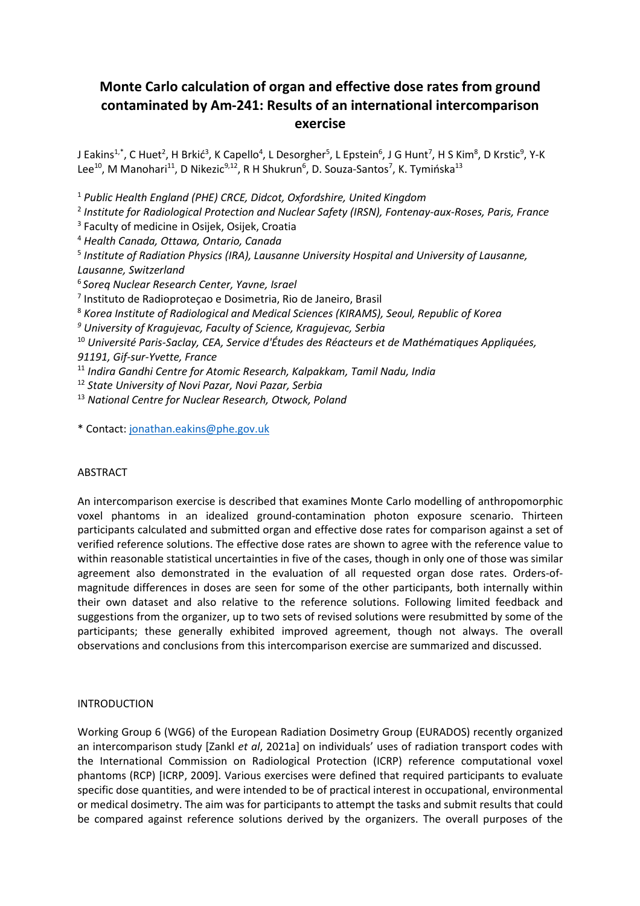# **Monte Carlo calculation of organ and effective dose rates from ground contaminated by Am-241: Results of an international intercomparison exercise**

J Eakins<sup>1,\*</sup>, C Huet<sup>2</sup>, H Brkić<sup>3</sup>, K Capello<sup>4</sup>, L Desorgher<sup>5</sup>, L Epstein<sup>6</sup>, J G Hunt<sup>7</sup>, H S Kim<sup>8</sup>, D Krstic<sup>9</sup>, Y-K Lee<sup>10</sup>, M Manohari<sup>11</sup>, D Nikezic<sup>9,12</sup>, R H Shukrun<sup>6</sup>, D. Souza-Santos<sup>7</sup>, K. Tymińska<sup>13</sup>

<sup>1</sup> *Public Health England (PHE) CRCE, Didcot, Oxfordshire, United Kingdom*

2 *Institute for Radiological Protection and Nuclear Safety (IRSN), Fontenay-aux-Roses, Paris, France* 

<sup>3</sup> Faculty of medicine in Osijek, Osijek, Croatia

<sup>4</sup> *Health Canada, Ottawa, Ontario, Canada* 

5 *Institute of Radiation Physics (IRA), Lausanne University Hospital and University of Lausanne, Lausanne, Switzerland*

<sup>6</sup>*Soreq Nuclear Research Center, Yavne, Israel* 

7 Instituto de Radioproteçao e Dosimetria, Rio de Janeiro, Brasil

<sup>8</sup> *Korea Institute of Radiological and Medical Sciences (KIRAMS), Seoul, Republic of Korea* 

*9 University of Kragujevac, Faculty of Science, Kragujevac, Serbia* 

<sup>10</sup> *Université Paris-Saclay, CEA, Service d'Études des Réacteurs et de Mathématiques Appliquées, 91191, Gif-sur-Yvette, France* 

<sup>11</sup> *Indira Gandhi Centre for Atomic Research, Kalpakkam, Tamil Nadu, India* 

<sup>12</sup> *State University of Novi Pazar, Novi Pazar, Serbia* 

<sup>13</sup> *National Centre for Nuclear Research, Otwock, Poland*

\* Contact: jonathan.eakins@phe.gov.uk

## ABSTRACT

An intercomparison exercise is described that examines Monte Carlo modelling of anthropomorphic voxel phantoms in an idealized ground-contamination photon exposure scenario. Thirteen participants calculated and submitted organ and effective dose rates for comparison against a set of verified reference solutions. The effective dose rates are shown to agree with the reference value to within reasonable statistical uncertainties in five of the cases, though in only one of those was similar agreement also demonstrated in the evaluation of all requested organ dose rates. Orders-ofmagnitude differences in doses are seen for some of the other participants, both internally within their own dataset and also relative to the reference solutions. Following limited feedback and suggestions from the organizer, up to two sets of revised solutions were resubmitted by some of the participants; these generally exhibited improved agreement, though not always. The overall observations and conclusions from this intercomparison exercise are summarized and discussed.

## INTRODUCTION

Working Group 6 (WG6) of the European Radiation Dosimetry Group (EURADOS) recently organized an intercomparison study [Zankl *et al*, 2021a] on individuals' uses of radiation transport codes with the International Commission on Radiological Protection (ICRP) reference computational voxel phantoms (RCP) [ICRP, 2009]. Various exercises were defined that required participants to evaluate specific dose quantities, and were intended to be of practical interest in occupational, environmental or medical dosimetry. The aim was for participants to attempt the tasks and submit results that could be compared against reference solutions derived by the organizers. The overall purposes of the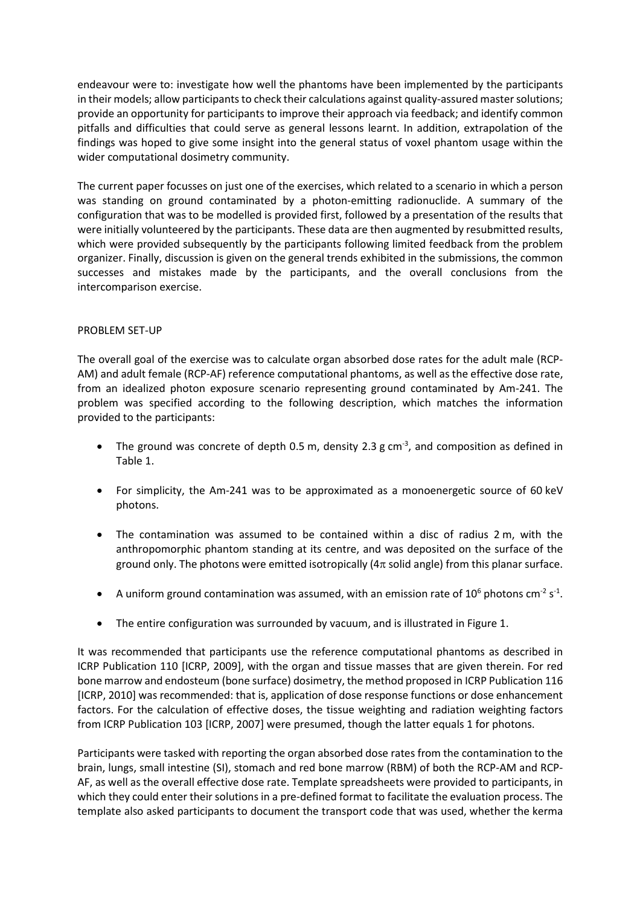endeavour were to: investigate how well the phantoms have been implemented by the participants in their models; allow participants to check their calculations against quality-assured master solutions; provide an opportunity for participants to improve their approach via feedback; and identify common pitfalls and difficulties that could serve as general lessons learnt. In addition, extrapolation of the findings was hoped to give some insight into the general status of voxel phantom usage within the wider computational dosimetry community.

The current paper focusses on just one of the exercises, which related to a scenario in which a person was standing on ground contaminated by a photon-emitting radionuclide. A summary of the configuration that was to be modelled is provided first, followed by a presentation of the results that were initially volunteered by the participants. These data are then augmented by resubmitted results, which were provided subsequently by the participants following limited feedback from the problem organizer. Finally, discussion is given on the general trends exhibited in the submissions, the common successes and mistakes made by the participants, and the overall conclusions from the intercomparison exercise.

## PROBLEM SET-UP

The overall goal of the exercise was to calculate organ absorbed dose rates for the adult male (RCP-AM) and adult female (RCP-AF) reference computational phantoms, as well as the effective dose rate, from an idealized photon exposure scenario representing ground contaminated by Am-241. The problem was specified according to the following description, which matches the information provided to the participants:

- The ground was concrete of depth 0.5 m, density 2.3 g cm<sup>-3</sup>, and composition as defined in Table 1.
- For simplicity, the Am-241 was to be approximated as a monoenergetic source of 60 keV photons.
- The contamination was assumed to be contained within a disc of radius 2 m, with the anthropomorphic phantom standing at its centre, and was deposited on the surface of the ground only. The photons were emitted isotropically  $(4\pi$  solid angle) from this planar surface.
- A uniform ground contamination was assumed, with an emission rate of  $10^6$  photons cm<sup>-2</sup> s<sup>-1</sup>.
- The entire configuration was surrounded by vacuum, and is illustrated in Figure 1.

It was recommended that participants use the reference computational phantoms as described in ICRP Publication 110 [ICRP, 2009], with the organ and tissue masses that are given therein. For red bone marrow and endosteum (bone surface) dosimetry, the method proposed in ICRP Publication 116 [ICRP, 2010] was recommended: that is, application of dose response functions or dose enhancement factors. For the calculation of effective doses, the tissue weighting and radiation weighting factors from ICRP Publication 103 [ICRP, 2007] were presumed, though the latter equals 1 for photons.

Participants were tasked with reporting the organ absorbed dose rates from the contamination to the brain, lungs, small intestine (SI), stomach and red bone marrow (RBM) of both the RCP-AM and RCP-AF, as well as the overall effective dose rate. Template spreadsheets were provided to participants, in which they could enter their solutions in a pre-defined format to facilitate the evaluation process. The template also asked participants to document the transport code that was used, whether the kerma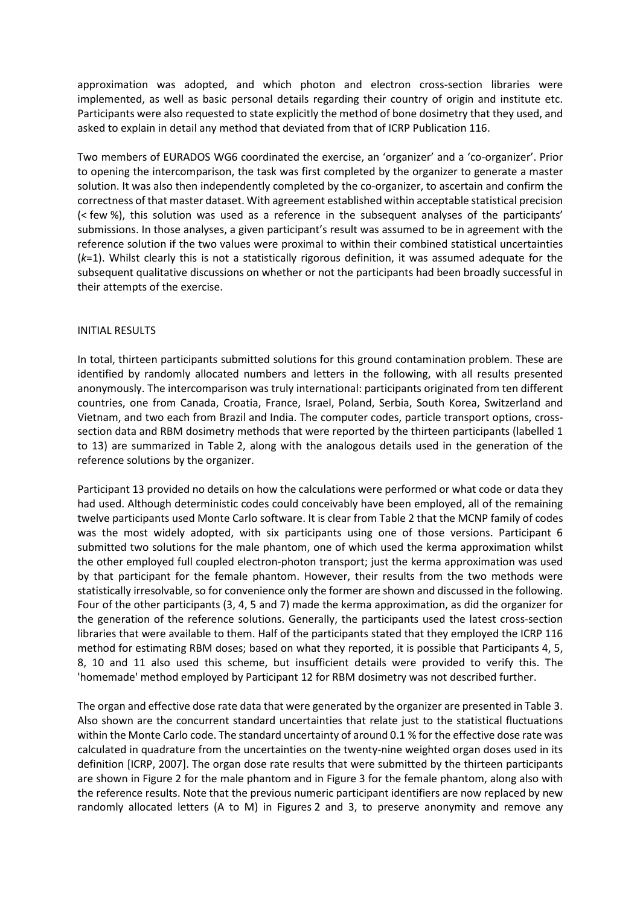approximation was adopted, and which photon and electron cross-section libraries were implemented, as well as basic personal details regarding their country of origin and institute etc. Participants were also requested to state explicitly the method of bone dosimetry that they used, and asked to explain in detail any method that deviated from that of ICRP Publication 116.

Two members of EURADOS WG6 coordinated the exercise, an 'organizer' and a 'co-organizer'. Prior to opening the intercomparison, the task was first completed by the organizer to generate a master solution. It was also then independently completed by the co-organizer, to ascertain and confirm the correctness of that master dataset. With agreement established within acceptable statistical precision (< few %), this solution was used as a reference in the subsequent analyses of the participants' submissions. In those analyses, a given participant's result was assumed to be in agreement with the reference solution if the two values were proximal to within their combined statistical uncertainties (*k*=1). Whilst clearly this is not a statistically rigorous definition, it was assumed adequate for the subsequent qualitative discussions on whether or not the participants had been broadly successful in their attempts of the exercise.

## INITIAL RESULTS

In total, thirteen participants submitted solutions for this ground contamination problem. These are identified by randomly allocated numbers and letters in the following, with all results presented anonymously. The intercomparison was truly international: participants originated from ten different countries, one from Canada, Croatia, France, Israel, Poland, Serbia, South Korea, Switzerland and Vietnam, and two each from Brazil and India. The computer codes, particle transport options, crosssection data and RBM dosimetry methods that were reported by the thirteen participants (labelled 1 to 13) are summarized in Table 2, along with the analogous details used in the generation of the reference solutions by the organizer.

Participant 13 provided no details on how the calculations were performed or what code or data they had used. Although deterministic codes could conceivably have been employed, all of the remaining twelve participants used Monte Carlo software. It is clear from Table 2 that the MCNP family of codes was the most widely adopted, with six participants using one of those versions. Participant 6 submitted two solutions for the male phantom, one of which used the kerma approximation whilst the other employed full coupled electron-photon transport; just the kerma approximation was used by that participant for the female phantom. However, their results from the two methods were statistically irresolvable, so for convenience only the former are shown and discussed in the following. Four of the other participants (3, 4, 5 and 7) made the kerma approximation, as did the organizer for the generation of the reference solutions. Generally, the participants used the latest cross-section libraries that were available to them. Half of the participants stated that they employed the ICRP 116 method for estimating RBM doses; based on what they reported, it is possible that Participants 4, 5, 8, 10 and 11 also used this scheme, but insufficient details were provided to verify this. The 'homemade' method employed by Participant 12 for RBM dosimetry was not described further.

The organ and effective dose rate data that were generated by the organizer are presented in Table 3. Also shown are the concurrent standard uncertainties that relate just to the statistical fluctuations within the Monte Carlo code. The standard uncertainty of around 0.1 % for the effective dose rate was calculated in quadrature from the uncertainties on the twenty-nine weighted organ doses used in its definition [ICRP, 2007]. The organ dose rate results that were submitted by the thirteen participants are shown in Figure 2 for the male phantom and in Figure 3 for the female phantom, along also with the reference results. Note that the previous numeric participant identifiers are now replaced by new randomly allocated letters (A to M) in Figures 2 and 3, to preserve anonymity and remove any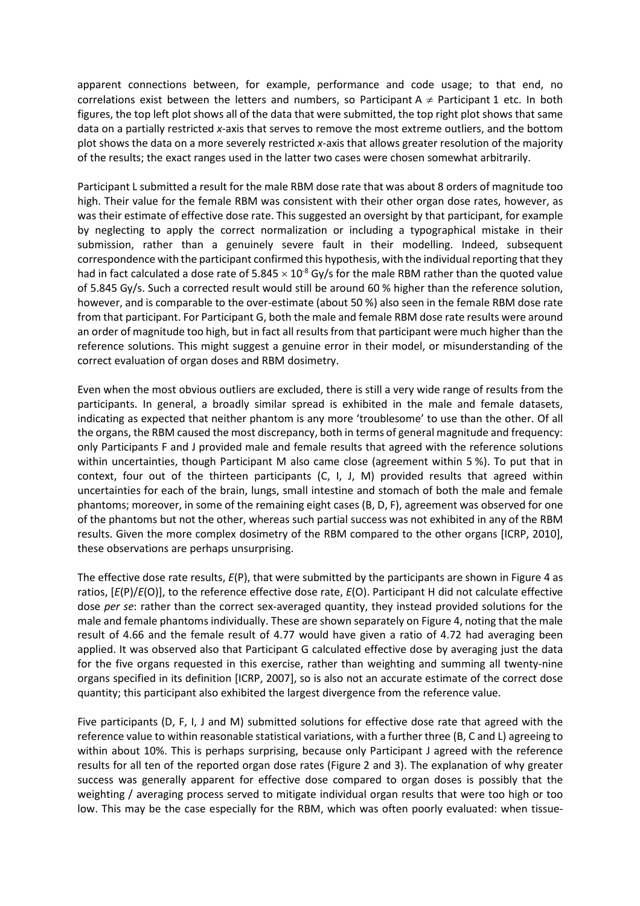apparent connections between, for example, performance and code usage; to that end, no correlations exist between the letters and numbers, so Participant A  $\neq$  Participant 1 etc. In both figures, the top left plot shows all of the data that were submitted, the top right plot shows that same data on a partially restricted *x*-axis that serves to remove the most extreme outliers, and the bottom plot shows the data on a more severely restricted *x*-axis that allows greater resolution of the majority of the results; the exact ranges used in the latter two cases were chosen somewhat arbitrarily.

Participant L submitted a result for the male RBM dose rate that was about 8 orders of magnitude too high. Their value for the female RBM was consistent with their other organ dose rates, however, as was their estimate of effective dose rate. This suggested an oversight by that participant, for example by neglecting to apply the correct normalization or including a typographical mistake in their submission, rather than a genuinely severe fault in their modelling. Indeed, subsequent correspondence with the participant confirmed this hypothesis, with the individual reporting that they had in fact calculated a dose rate of  $5.845 \times 10^{-8}$  Gy/s for the male RBM rather than the quoted value of 5.845 Gy/s. Such a corrected result would still be around 60 % higher than the reference solution, however, and is comparable to the over-estimate (about 50 %) also seen in the female RBM dose rate from that participant. For Participant G, both the male and female RBM dose rate results were around an order of magnitude too high, but in fact all results from that participant were much higher than the reference solutions. This might suggest a genuine error in their model, or misunderstanding of the correct evaluation of organ doses and RBM dosimetry.

Even when the most obvious outliers are excluded, there is still a very wide range of results from the participants. In general, a broadly similar spread is exhibited in the male and female datasets, indicating as expected that neither phantom is any more 'troublesome' to use than the other. Of all the organs, the RBM caused the most discrepancy, both in terms of general magnitude and frequency: only Participants F and J provided male and female results that agreed with the reference solutions within uncertainties, though Participant M also came close (agreement within 5 %). To put that in context, four out of the thirteen participants (C, I, J, M) provided results that agreed within uncertainties for each of the brain, lungs, small intestine and stomach of both the male and female phantoms; moreover, in some of the remaining eight cases (B, D, F), agreement was observed for one of the phantoms but not the other, whereas such partial success was not exhibited in any of the RBM results. Given the more complex dosimetry of the RBM compared to the other organs [ICRP, 2010], these observations are perhaps unsurprising.

The effective dose rate results, *E*(P), that were submitted by the participants are shown in Figure 4 as ratios, [*E*(P)/*E*(O)], to the reference effective dose rate, *E*(O). Participant H did not calculate effective dose *per se*: rather than the correct sex-averaged quantity, they instead provided solutions for the male and female phantoms individually. These are shown separately on Figure 4, noting that the male result of 4.66 and the female result of 4.77 would have given a ratio of 4.72 had averaging been applied. It was observed also that Participant G calculated effective dose by averaging just the data for the five organs requested in this exercise, rather than weighting and summing all twenty-nine organs specified in its definition [ICRP, 2007], so is also not an accurate estimate of the correct dose quantity; this participant also exhibited the largest divergence from the reference value.

Five participants (D, F, I, J and M) submitted solutions for effective dose rate that agreed with the reference value to within reasonable statistical variations, with a further three (B, C and L) agreeing to within about 10%. This is perhaps surprising, because only Participant J agreed with the reference results for all ten of the reported organ dose rates (Figure 2 and 3). The explanation of why greater success was generally apparent for effective dose compared to organ doses is possibly that the weighting / averaging process served to mitigate individual organ results that were too high or too low. This may be the case especially for the RBM, which was often poorly evaluated: when tissue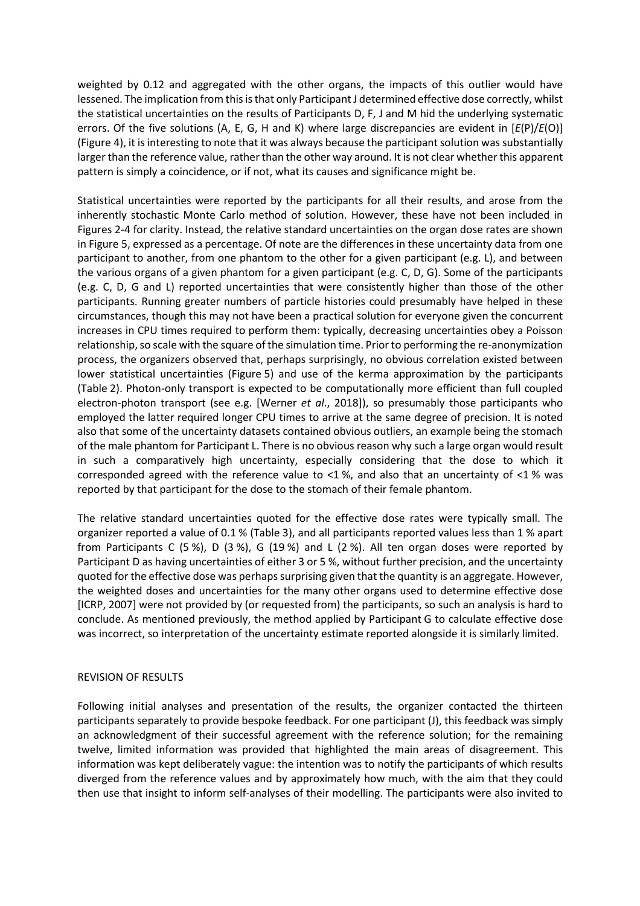weighted by 0.12 and aggregated with the other organs, the impacts of this outlier would have lessened. The implication from this is that only Participant J determined effective dose correctly, whilst the statistical uncertainties on the results of Participants D, F, J and M hid the underlying systematic errors. Of the five solutions (A, E, G, H and K) where large discrepancies are evident in [*E*(P)/*E*(O)] (Figure 4), it is interesting to note that it was always because the participant solution was substantially larger than the reference value, rather than the other way around. It is not clear whether this apparent pattern is simply a coincidence, or if not, what its causes and significance might be.

Statistical uncertainties were reported by the participants for all their results, and arose from the inherently stochastic Monte Carlo method of solution. However, these have not been included in Figures 2-4 for clarity. Instead, the relative standard uncertainties on the organ dose rates are shown in Figure 5, expressed as a percentage. Of note are the differences in these uncertainty data from one participant to another, from one phantom to the other for a given participant (e.g. L), and between the various organs of a given phantom for a given participant (e.g. C, D, G). Some of the participants (e.g. C, D, G and L) reported uncertainties that were consistently higher than those of the other participants. Running greater numbers of particle histories could presumably have helped in these circumstances, though this may not have been a practical solution for everyone given the concurrent increases in CPU times required to perform them: typically, decreasing uncertainties obey a Poisson relationship, so scale with the square of the simulation time. Prior to performing the re-anonymization process, the organizers observed that, perhaps surprisingly, no obvious correlation existed between lower statistical uncertainties (Figure 5) and use of the kerma approximation by the participants (Table 2). Photon-only transport is expected to be computationally more efficient than full coupled electron-photon transport (see e.g. [Werner *et al*., 2018]), so presumably those participants who employed the latter required longer CPU times to arrive at the same degree of precision. It is noted also that some of the uncertainty datasets contained obvious outliers, an example being the stomach of the male phantom for Participant L. There is no obvious reason why such a large organ would result in such a comparatively high uncertainty, especially considering that the dose to which it corresponded agreed with the reference value to <1 %, and also that an uncertainty of <1 % was reported by that participant for the dose to the stomach of their female phantom.

The relative standard uncertainties quoted for the effective dose rates were typically small. The organizer reported a value of 0.1 % (Table 3), and all participants reported values less than 1 % apart from Participants C (5 %), D (3 %), G (19 %) and L (2 %). All ten organ doses were reported by Participant D as having uncertainties of either 3 or 5 %, without further precision, and the uncertainty quoted for the effective dose was perhaps surprising given that the quantity is an aggregate. However, the weighted doses and uncertainties for the many other organs used to determine effective dose [ICRP, 2007] were not provided by (or requested from) the participants, so such an analysis is hard to conclude. As mentioned previously, the method applied by Participant G to calculate effective dose was incorrect, so interpretation of the uncertainty estimate reported alongside it is similarly limited.

## REVISION OF RESULTS

Following initial analyses and presentation of the results, the organizer contacted the thirteen participants separately to provide bespoke feedback. For one participant (J), this feedback was simply an acknowledgment of their successful agreement with the reference solution; for the remaining twelve, limited information was provided that highlighted the main areas of disagreement. This information was kept deliberately vague: the intention was to notify the participants of which results diverged from the reference values and by approximately how much, with the aim that they could then use that insight to inform self-analyses of their modelling. The participants were also invited to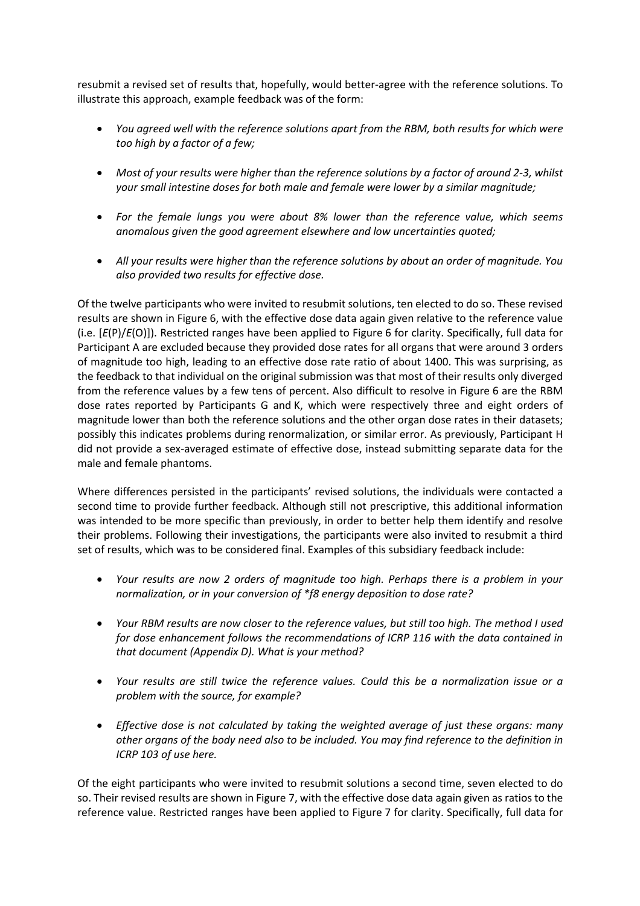resubmit a revised set of results that, hopefully, would better-agree with the reference solutions. To illustrate this approach, example feedback was of the form:

- *You agreed well with the reference solutions apart from the RBM, both results for which were too high by a factor of a few;*
- *Most of your results were higher than the reference solutions by a factor of around 2-3, whilst your small intestine doses for both male and female were lower by a similar magnitude;*
- *For the female lungs you were about 8% lower than the reference value, which seems anomalous given the good agreement elsewhere and low uncertainties quoted;*
- *All your results were higher than the reference solutions by about an order of magnitude. You also provided two results for effective dose.*

Of the twelve participants who were invited to resubmit solutions, ten elected to do so. These revised results are shown in Figure 6, with the effective dose data again given relative to the reference value (i.e. [*E*(P)/*E*(O)]). Restricted ranges have been applied to Figure 6 for clarity. Specifically, full data for Participant A are excluded because they provided dose rates for all organs that were around 3 orders of magnitude too high, leading to an effective dose rate ratio of about 1400. This was surprising, as the feedback to that individual on the original submission was that most of their results only diverged from the reference values by a few tens of percent. Also difficult to resolve in Figure 6 are the RBM dose rates reported by Participants G and K, which were respectively three and eight orders of magnitude lower than both the reference solutions and the other organ dose rates in their datasets; possibly this indicates problems during renormalization, or similar error. As previously, Participant H did not provide a sex-averaged estimate of effective dose, instead submitting separate data for the male and female phantoms.

Where differences persisted in the participants' revised solutions, the individuals were contacted a second time to provide further feedback. Although still not prescriptive, this additional information was intended to be more specific than previously, in order to better help them identify and resolve their problems. Following their investigations, the participants were also invited to resubmit a third set of results, which was to be considered final. Examples of this subsidiary feedback include:

- *Your results are now 2 orders of magnitude too high. Perhaps there is a problem in your normalization, or in your conversion of \*f8 energy deposition to dose rate?*
- *Your RBM results are now closer to the reference values, but still too high. The method I used for dose enhancement follows the recommendations of ICRP 116 with the data contained in that document (Appendix D). What is your method?*
- *Your results are still twice the reference values. Could this be a normalization issue or a problem with the source, for example?*
- *Effective dose is not calculated by taking the weighted average of just these organs: many other organs of the body need also to be included. You may find reference to the definition in ICRP 103 of use here.*

Of the eight participants who were invited to resubmit solutions a second time, seven elected to do so. Their revised results are shown in Figure 7, with the effective dose data again given as ratios to the reference value. Restricted ranges have been applied to Figure 7 for clarity. Specifically, full data for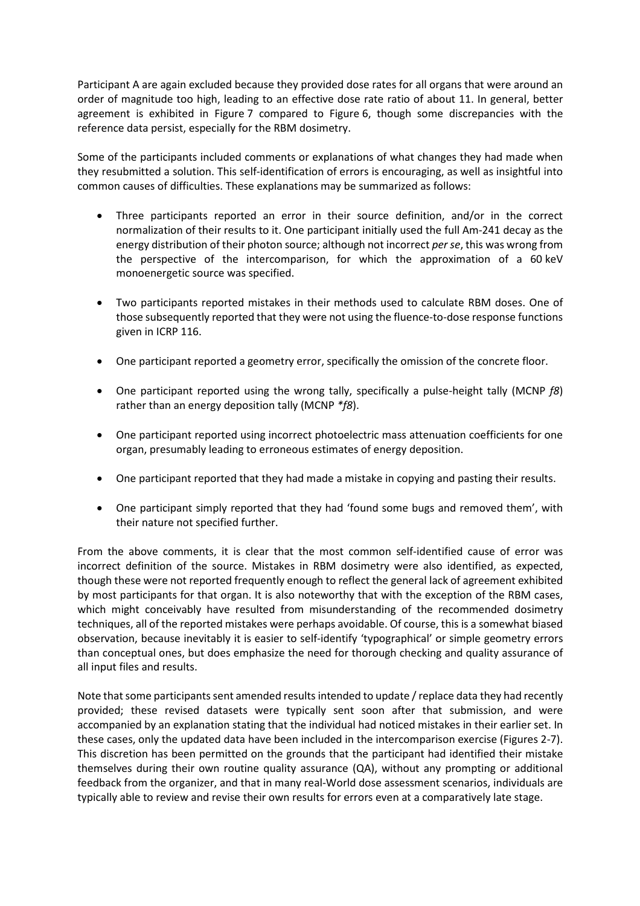Participant A are again excluded because they provided dose rates for all organs that were around an order of magnitude too high, leading to an effective dose rate ratio of about 11. In general, better agreement is exhibited in Figure 7 compared to Figure 6, though some discrepancies with the reference data persist, especially for the RBM dosimetry.

Some of the participants included comments or explanations of what changes they had made when they resubmitted a solution. This self-identification of errors is encouraging, as well as insightful into common causes of difficulties. These explanations may be summarized as follows:

- Three participants reported an error in their source definition, and/or in the correct normalization of their results to it. One participant initially used the full Am-241 decay as the energy distribution of their photon source; although not incorrect *per se*, this was wrong from the perspective of the intercomparison, for which the approximation of a 60 keV monoenergetic source was specified.
- Two participants reported mistakes in their methods used to calculate RBM doses. One of those subsequently reported that they were not using the fluence-to-dose response functions given in ICRP 116.
- One participant reported a geometry error, specifically the omission of the concrete floor.
- One participant reported using the wrong tally, specifically a pulse-height tally (MCNP *f8*) rather than an energy deposition tally (MCNP *\*f8*).
- One participant reported using incorrect photoelectric mass attenuation coefficients for one organ, presumably leading to erroneous estimates of energy deposition.
- One participant reported that they had made a mistake in copying and pasting their results.
- One participant simply reported that they had 'found some bugs and removed them', with their nature not specified further.

From the above comments, it is clear that the most common self-identified cause of error was incorrect definition of the source. Mistakes in RBM dosimetry were also identified, as expected, though these were not reported frequently enough to reflect the general lack of agreement exhibited by most participants for that organ. It is also noteworthy that with the exception of the RBM cases, which might conceivably have resulted from misunderstanding of the recommended dosimetry techniques, all of the reported mistakes were perhaps avoidable. Of course, this is a somewhat biased observation, because inevitably it is easier to self-identify 'typographical' or simple geometry errors than conceptual ones, but does emphasize the need for thorough checking and quality assurance of all input files and results.

Note that some participants sent amended results intended to update / replace data they had recently provided; these revised datasets were typically sent soon after that submission, and were accompanied by an explanation stating that the individual had noticed mistakes in their earlier set. In these cases, only the updated data have been included in the intercomparison exercise (Figures 2-7). This discretion has been permitted on the grounds that the participant had identified their mistake themselves during their own routine quality assurance (QA), without any prompting or additional feedback from the organizer, and that in many real-World dose assessment scenarios, individuals are typically able to review and revise their own results for errors even at a comparatively late stage.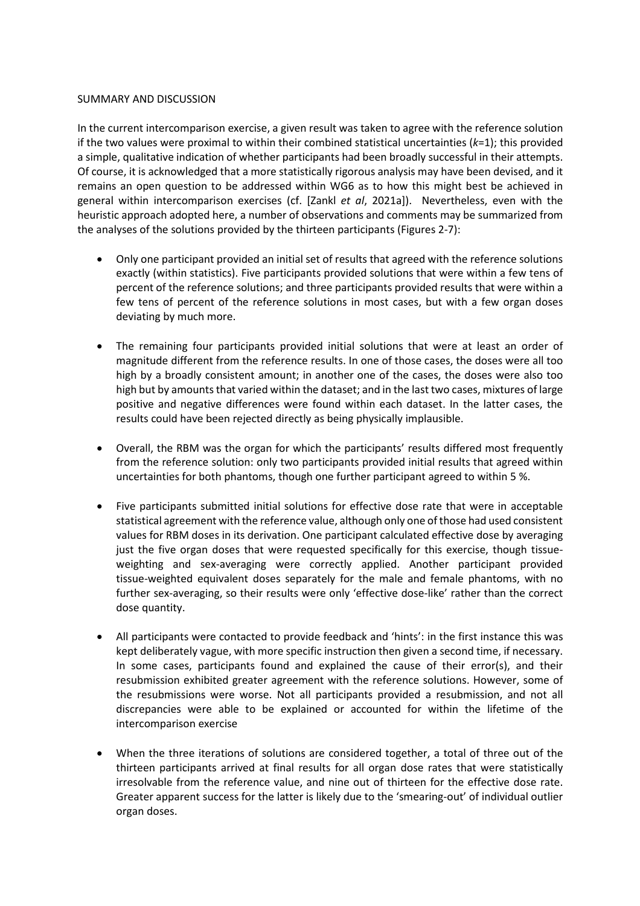#### SUMMARY AND DISCUSSION

In the current intercomparison exercise, a given result was taken to agree with the reference solution if the two values were proximal to within their combined statistical uncertainties (*k*=1); this provided a simple, qualitative indication of whether participants had been broadly successful in their attempts. Of course, it is acknowledged that a more statistically rigorous analysis may have been devised, and it remains an open question to be addressed within WG6 as to how this might best be achieved in general within intercomparison exercises (cf. [Zankl *et al*, 2021a]). Nevertheless, even with the heuristic approach adopted here, a number of observations and comments may be summarized from the analyses of the solutions provided by the thirteen participants (Figures 2-7):

- Only one participant provided an initial set of results that agreed with the reference solutions exactly (within statistics). Five participants provided solutions that were within a few tens of percent of the reference solutions; and three participants provided results that were within a few tens of percent of the reference solutions in most cases, but with a few organ doses deviating by much more.
- The remaining four participants provided initial solutions that were at least an order of magnitude different from the reference results. In one of those cases, the doses were all too high by a broadly consistent amount; in another one of the cases, the doses were also too high but by amounts that varied within the dataset; and in the last two cases, mixtures of large positive and negative differences were found within each dataset. In the latter cases, the results could have been rejected directly as being physically implausible.
- Overall, the RBM was the organ for which the participants' results differed most frequently from the reference solution: only two participants provided initial results that agreed within uncertainties for both phantoms, though one further participant agreed to within 5 %.
- Five participants submitted initial solutions for effective dose rate that were in acceptable statistical agreement with the reference value, although only one of those had used consistent values for RBM doses in its derivation. One participant calculated effective dose by averaging just the five organ doses that were requested specifically for this exercise, though tissueweighting and sex-averaging were correctly applied. Another participant provided tissue-weighted equivalent doses separately for the male and female phantoms, with no further sex-averaging, so their results were only 'effective dose-like' rather than the correct dose quantity.
- All participants were contacted to provide feedback and 'hints': in the first instance this was kept deliberately vague, with more specific instruction then given a second time, if necessary. In some cases, participants found and explained the cause of their error(s), and their resubmission exhibited greater agreement with the reference solutions. However, some of the resubmissions were worse. Not all participants provided a resubmission, and not all discrepancies were able to be explained or accounted for within the lifetime of the intercomparison exercise
- When the three iterations of solutions are considered together, a total of three out of the thirteen participants arrived at final results for all organ dose rates that were statistically irresolvable from the reference value, and nine out of thirteen for the effective dose rate. Greater apparent success for the latter is likely due to the 'smearing-out' of individual outlier organ doses.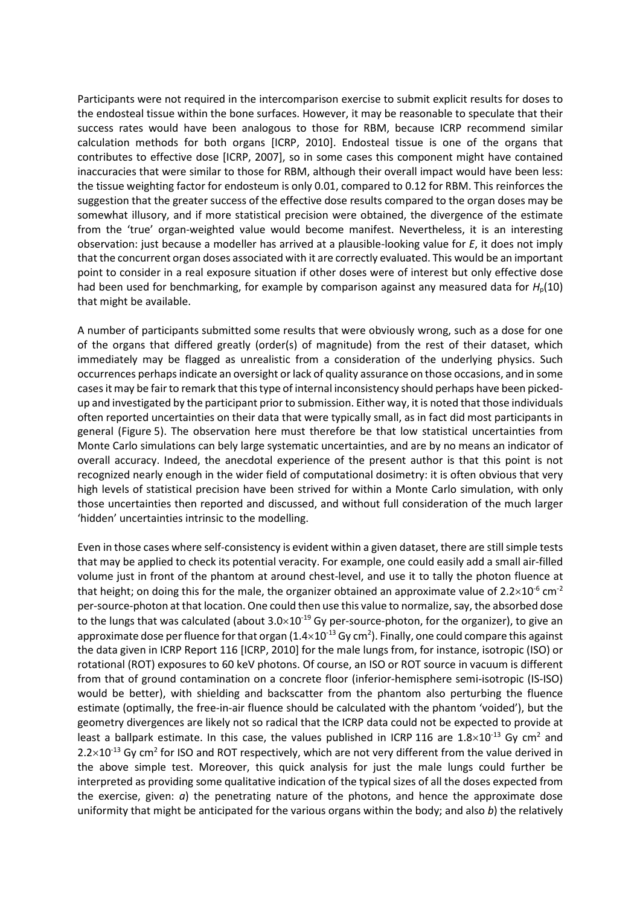Participants were not required in the intercomparison exercise to submit explicit results for doses to the endosteal tissue within the bone surfaces. However, it may be reasonable to speculate that their success rates would have been analogous to those for RBM, because ICRP recommend similar calculation methods for both organs [ICRP, 2010]. Endosteal tissue is one of the organs that contributes to effective dose [ICRP, 2007], so in some cases this component might have contained inaccuracies that were similar to those for RBM, although their overall impact would have been less: the tissue weighting factor for endosteum is only 0.01, compared to 0.12 for RBM. This reinforces the suggestion that the greater success of the effective dose results compared to the organ doses may be somewhat illusory, and if more statistical precision were obtained, the divergence of the estimate from the 'true' organ-weighted value would become manifest. Nevertheless, it is an interesting observation: just because a modeller has arrived at a plausible-looking value for *E*, it does not imply that the concurrent organ doses associated with it are correctly evaluated. This would be an important point to consider in a real exposure situation if other doses were of interest but only effective dose had been used for benchmarking, for example by comparison against any measured data for *H*<sub>p</sub>(10) that might be available.

A number of participants submitted some results that were obviously wrong, such as a dose for one of the organs that differed greatly (order(s) of magnitude) from the rest of their dataset, which immediately may be flagged as unrealistic from a consideration of the underlying physics. Such occurrences perhaps indicate an oversight or lack of quality assurance on those occasions, and in some cases it may be fair to remark that this type of internal inconsistency should perhaps have been pickedup and investigated by the participant prior to submission. Either way, it is noted that those individuals often reported uncertainties on their data that were typically small, as in fact did most participants in general (Figure 5). The observation here must therefore be that low statistical uncertainties from Monte Carlo simulations can bely large systematic uncertainties, and are by no means an indicator of overall accuracy. Indeed, the anecdotal experience of the present author is that this point is not recognized nearly enough in the wider field of computational dosimetry: it is often obvious that very high levels of statistical precision have been strived for within a Monte Carlo simulation, with only those uncertainties then reported and discussed, and without full consideration of the much larger 'hidden' uncertainties intrinsic to the modelling.

Even in those cases where self-consistency is evident within a given dataset, there are still simple tests that may be applied to check its potential veracity. For example, one could easily add a small air-filled volume just in front of the phantom at around chest-level, and use it to tally the photon fluence at that height; on doing this for the male, the organizer obtained an approximate value of  $2.2 \times 10^{-6}$  cm<sup>-2</sup> per-source-photon at that location. One could then use this value to normalize, say, the absorbed dose to the lungs that was calculated (about  $3.0\times10^{-19}$  Gy per-source-photon, for the organizer), to give an approximate dose per fluence for that organ (1.4 $\times$ 10<sup>-13</sup> Gy cm<sup>2</sup>). Finally, one could compare this against the data given in ICRP Report 116 [ICRP, 2010] for the male lungs from, for instance, isotropic (ISO) or rotational (ROT) exposures to 60 keV photons. Of course, an ISO or ROT source in vacuum is different from that of ground contamination on a concrete floor (inferior-hemisphere semi-isotropic (IS-ISO) would be better), with shielding and backscatter from the phantom also perturbing the fluence estimate (optimally, the free-in-air fluence should be calculated with the phantom 'voided'), but the geometry divergences are likely not so radical that the ICRP data could not be expected to provide at least a ballpark estimate. In this case, the values published in ICRP 116 are 1.8×10<sup>-13</sup> Gy cm<sup>2</sup> and  $2.2\times10^{-13}$  Gy cm<sup>2</sup> for ISO and ROT respectively, which are not very different from the value derived in the above simple test. Moreover, this quick analysis for just the male lungs could further be interpreted as providing some qualitative indication of the typical sizes of all the doses expected from the exercise, given: *a*) the penetrating nature of the photons, and hence the approximate dose uniformity that might be anticipated for the various organs within the body; and also *b*) the relatively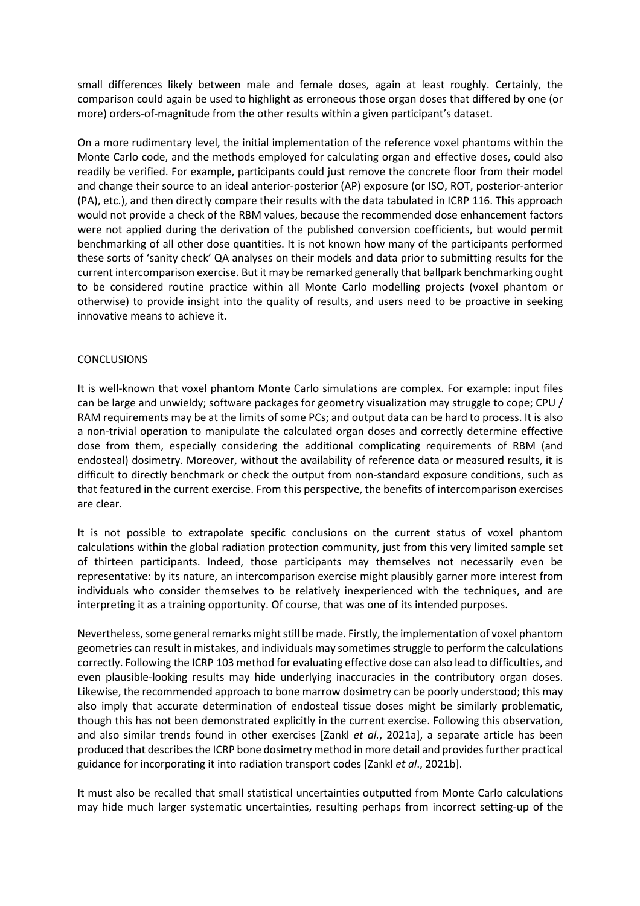small differences likely between male and female doses, again at least roughly. Certainly, the comparison could again be used to highlight as erroneous those organ doses that differed by one (or more) orders-of-magnitude from the other results within a given participant's dataset.

On a more rudimentary level, the initial implementation of the reference voxel phantoms within the Monte Carlo code, and the methods employed for calculating organ and effective doses, could also readily be verified. For example, participants could just remove the concrete floor from their model and change their source to an ideal anterior-posterior (AP) exposure (or ISO, ROT, posterior-anterior (PA), etc.), and then directly compare their results with the data tabulated in ICRP 116. This approach would not provide a check of the RBM values, because the recommended dose enhancement factors were not applied during the derivation of the published conversion coefficients, but would permit benchmarking of all other dose quantities. It is not known how many of the participants performed these sorts of 'sanity check' QA analyses on their models and data prior to submitting results for the current intercomparison exercise. But it may be remarked generally that ballpark benchmarking ought to be considered routine practice within all Monte Carlo modelling projects (voxel phantom or otherwise) to provide insight into the quality of results, and users need to be proactive in seeking innovative means to achieve it.

## CONCLUSIONS

It is well-known that voxel phantom Monte Carlo simulations are complex. For example: input files can be large and unwieldy; software packages for geometry visualization may struggle to cope; CPU / RAM requirements may be at the limits of some PCs; and output data can be hard to process. It is also a non-trivial operation to manipulate the calculated organ doses and correctly determine effective dose from them, especially considering the additional complicating requirements of RBM (and endosteal) dosimetry. Moreover, without the availability of reference data or measured results, it is difficult to directly benchmark or check the output from non-standard exposure conditions, such as that featured in the current exercise. From this perspective, the benefits of intercomparison exercises are clear.

It is not possible to extrapolate specific conclusions on the current status of voxel phantom calculations within the global radiation protection community, just from this very limited sample set of thirteen participants. Indeed, those participants may themselves not necessarily even be representative: by its nature, an intercomparison exercise might plausibly garner more interest from individuals who consider themselves to be relatively inexperienced with the techniques, and are interpreting it as a training opportunity. Of course, that was one of its intended purposes.

Nevertheless, some general remarks might still be made. Firstly, the implementation of voxel phantom geometries can result in mistakes, and individuals may sometimes struggle to perform the calculations correctly. Following the ICRP 103 method for evaluating effective dose can also lead to difficulties, and even plausible-looking results may hide underlying inaccuracies in the contributory organ doses. Likewise, the recommended approach to bone marrow dosimetry can be poorly understood; this may also imply that accurate determination of endosteal tissue doses might be similarly problematic, though this has not been demonstrated explicitly in the current exercise. Following this observation, and also similar trends found in other exercises [Zankl *et al.*, 2021a], a separate article has been produced that describes the ICRP bone dosimetry method in more detail and provides further practical guidance for incorporating it into radiation transport codes [Zankl *et al*., 2021b].

It must also be recalled that small statistical uncertainties outputted from Monte Carlo calculations may hide much larger systematic uncertainties, resulting perhaps from incorrect setting-up of the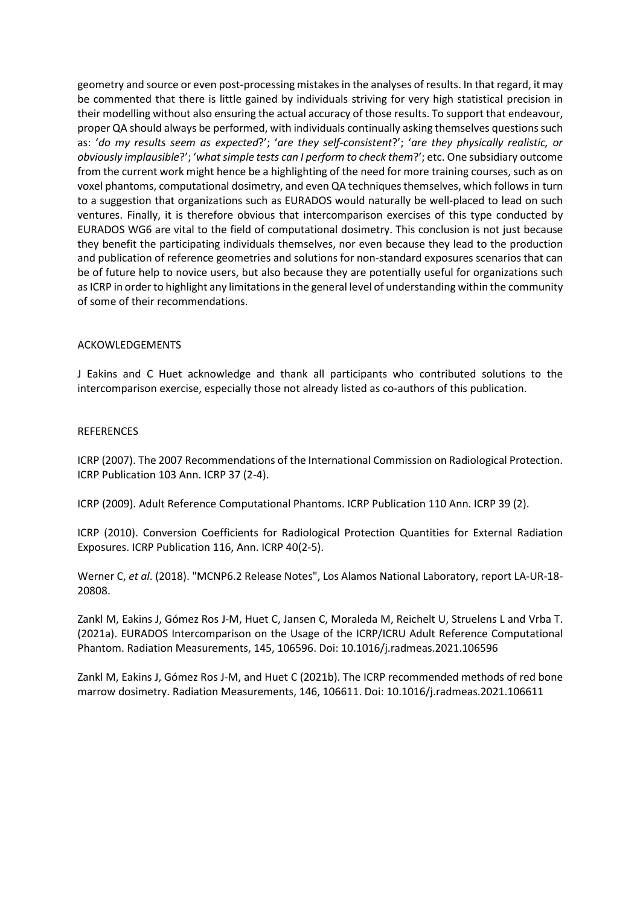geometry and source or even post-processing mistakes in the analyses of results. In that regard, it may be commented that there is little gained by individuals striving for very high statistical precision in their modelling without also ensuring the actual accuracy of those results. To support that endeavour, proper QA should always be performed, with individuals continually asking themselves questions such as: '*do my results seem as expected*?'; '*are they self-consistent*?'; '*are they physically realistic, or obviously implausible*?'; '*what simple tests can I perform to check them*?'; etc. One subsidiary outcome from the current work might hence be a highlighting of the need for more training courses, such as on voxel phantoms, computational dosimetry, and even QA techniques themselves, which follows in turn to a suggestion that organizations such as EURADOS would naturally be well-placed to lead on such ventures. Finally, it is therefore obvious that intercomparison exercises of this type conducted by EURADOS WG6 are vital to the field of computational dosimetry. This conclusion is not just because they benefit the participating individuals themselves, nor even because they lead to the production and publication of reference geometries and solutions for non-standard exposures scenarios that can be of future help to novice users, but also because they are potentially useful for organizations such as ICRP in order to highlight any limitations in the general level of understanding within the community of some of their recommendations.

#### ACKOWLEDGEMENTS

J Eakins and C Huet acknowledge and thank all participants who contributed solutions to the intercomparison exercise, especially those not already listed as co-authors of this publication.

#### REFERENCES

ICRP (2007). The 2007 Recommendations of the International Commission on Radiological Protection. ICRP Publication 103 Ann. ICRP 37 (2-4).

ICRP (2009). Adult Reference Computational Phantoms. ICRP Publication 110 Ann. ICRP 39 (2).

ICRP (2010). Conversion Coefficients for Radiological Protection Quantities for External Radiation Exposures. ICRP Publication 116, Ann. ICRP 40(2-5).

Werner C, *et al*. (2018). "MCNP6.2 Release Notes", Los Alamos National Laboratory, report LA-UR-18- 20808.

Zankl M, Eakins J, Gómez Ros J-M, Huet C, Jansen C, Moraleda M, Reichelt U, Struelens L and Vrba T. (2021a). EURADOS Intercomparison on the Usage of the ICRP/ICRU Adult Reference Computational Phantom. Radiation Measurements, 145, 106596. Doi: 10.1016/j.radmeas.2021.106596

Zankl M, Eakins J, Gómez Ros J-M, and Huet C (2021b). The ICRP recommended methods of red bone marrow dosimetry. Radiation Measurements, 146, 106611. Doi: 10.1016/j.radmeas.2021.106611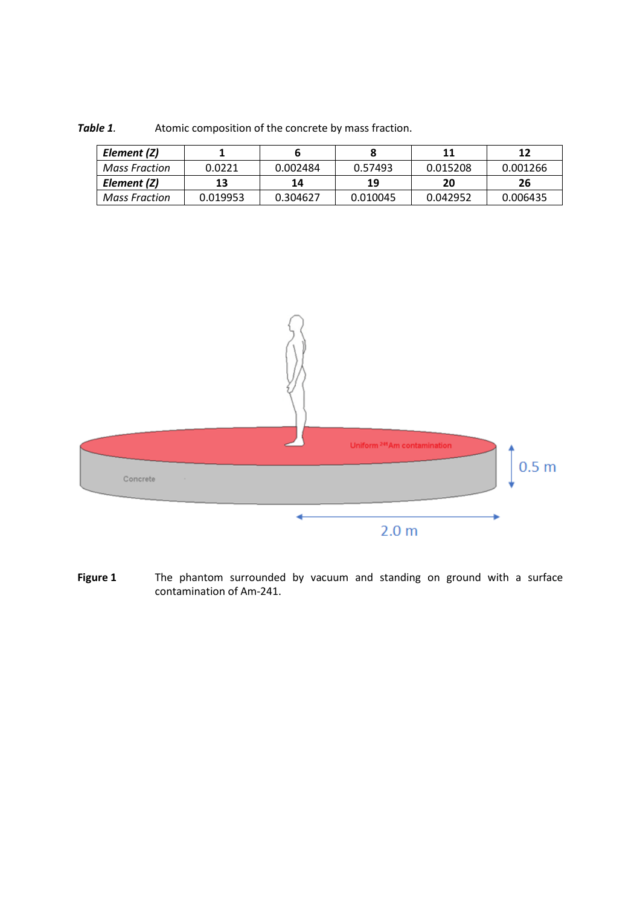| Element (Z)   |          |          |          | 11       | 12       |
|---------------|----------|----------|----------|----------|----------|
| Mass Fraction | 0.0221   | 0.002484 | 0.57493  | 0.015208 | 0.001266 |
| Element (Z)   | 13       | 14       | 19       | 20       | 26       |
| Mass Fraction | 0.019953 | 0.304627 | 0.010045 | 0.042952 | 0.006435 |

**Table 1**. Atomic composition of the concrete by mass fraction.



**Figure 1** The phantom surrounded by vacuum and standing on ground with a surface contamination of Am-241.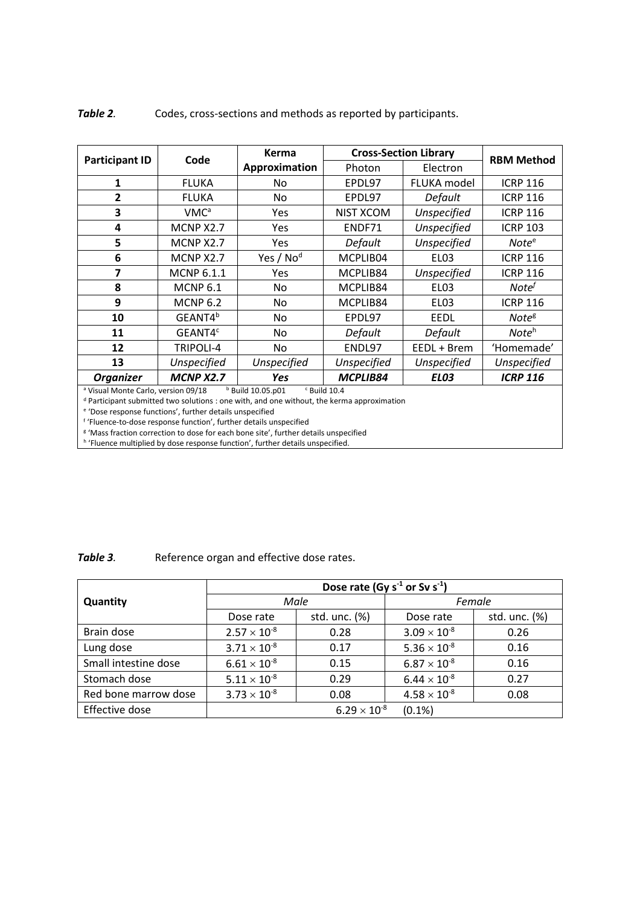| <b>Participant ID</b>                                                                   | Code                    | <b>Kerma</b>          | <b>Cross-Section Library</b> |                  |                   |  |
|-----------------------------------------------------------------------------------------|-------------------------|-----------------------|------------------------------|------------------|-------------------|--|
|                                                                                         |                         | Approximation         | Photon                       | Electron         | <b>RBM Method</b> |  |
| 1                                                                                       | <b>FLUKA</b>            | No                    | EPDL97                       | FLUKA model      | <b>ICRP 116</b>   |  |
| 2                                                                                       | <b>FLUKA</b>            | No                    | EPDL97                       | Default          | <b>ICRP 116</b>   |  |
| 3                                                                                       | <b>VMC</b> <sup>a</sup> | Yes                   | NIST XCOM                    | Unspecified      | <b>ICRP 116</b>   |  |
| 4                                                                                       | MCNP X2.7               | Yes                   | ENDF71                       | Unspecified      | <b>ICRP 103</b>   |  |
| 5                                                                                       | MCNP X2.7               | <b>Yes</b>            | <b>Default</b>               | Unspecified      | Note <sup>e</sup> |  |
| 6                                                                                       | MCNP X2.7               | Yes / No <sup>d</sup> | MCPLIB04                     | EL03             | <b>ICRP 116</b>   |  |
| 7                                                                                       | <b>MCNP 6.1.1</b>       | Yes                   | MCPLIB84                     | Unspecified      | <b>ICRP 116</b>   |  |
| 8                                                                                       | <b>MCNP 6.1</b>         | No                    | MCPLIB84                     | EL03             | Note <sup>f</sup> |  |
| 9                                                                                       | <b>MCNP 6.2</b>         | No                    | MCPLIB84                     | EL <sub>03</sub> | <b>ICRP 116</b>   |  |
| 10                                                                                      | GEANT4 <sup>b</sup>     | No                    | EPDL97                       | <b>EEDL</b>      | Note <sup>g</sup> |  |
| 11                                                                                      | GEANT4 <sup>c</sup>     | No                    | Default                      | Default          | Note <sup>h</sup> |  |
| 12                                                                                      | TRIPOLI-4               | No                    | ENDL97                       | EEDL + Brem      | 'Homemade'        |  |
| 13                                                                                      | <b>Unspecified</b>      | Unspecified           | Unspecified                  | Unspecified      | Unspecified       |  |
| <b>Organizer</b>                                                                        | <b>MCNP X2.7</b>        | Yes                   | MCPLIB84                     | <b>EL03</b>      | <b>ICRP 116</b>   |  |
| $b$ Build 10.05.p01<br><sup>a</sup> Visual Monte Carlo, version 09/18<br>$c$ Build 10.4 |                         |                       |                              |                  |                   |  |

**Table 2**. Codes, cross-sections and methods as reported by participants.

<sup>d</sup> Participant submitted two solutions : one with, and one without, the kerma approximation

e 'Dose response functions', further details unspecified

f 'Fluence-to-dose response function', further details unspecified

<sup>g</sup> 'Mass fraction correction to dose for each bone site', further details unspecified<br><sup>h</sup> 'Fluence multiplied by dose response function', further details unspecified.

Table 3. **Reference organ and effective dose rates.** 

|                      | Dose rate (Gy $s^{-1}$ or Sv $s^{-1}$ ) |               |                       |               |  |  |
|----------------------|-----------------------------------------|---------------|-----------------------|---------------|--|--|
| Quantity             |                                         | Male          | Female                |               |  |  |
|                      | Dose rate                               | std. unc. (%) | Dose rate             | std. unc. (%) |  |  |
| Brain dose           | $2.57 \times 10^{-8}$                   | 0.28          | $3.09 \times 10^{-8}$ | 0.26          |  |  |
| Lung dose            | $3.71 \times 10^{-8}$                   | 0.17          | $5.36 \times 10^{-8}$ | 0.16          |  |  |
| Small intestine dose | $6.61 \times 10^{-8}$                   | 0.15          | $6.87 \times 10^{-8}$ | 0.16          |  |  |
| Stomach dose         | $5.11 \times 10^{-8}$                   | 0.29          | $6.44 \times 10^{-8}$ | 0.27          |  |  |
| Red bone marrow dose | $3.73 \times 10^{-8}$                   | 0.08          | $4.58 \times 10^{-8}$ | 0.08          |  |  |
| Effective dose       | $6.29 \times 10^{-8}$<br>$(0.1\%)$      |               |                       |               |  |  |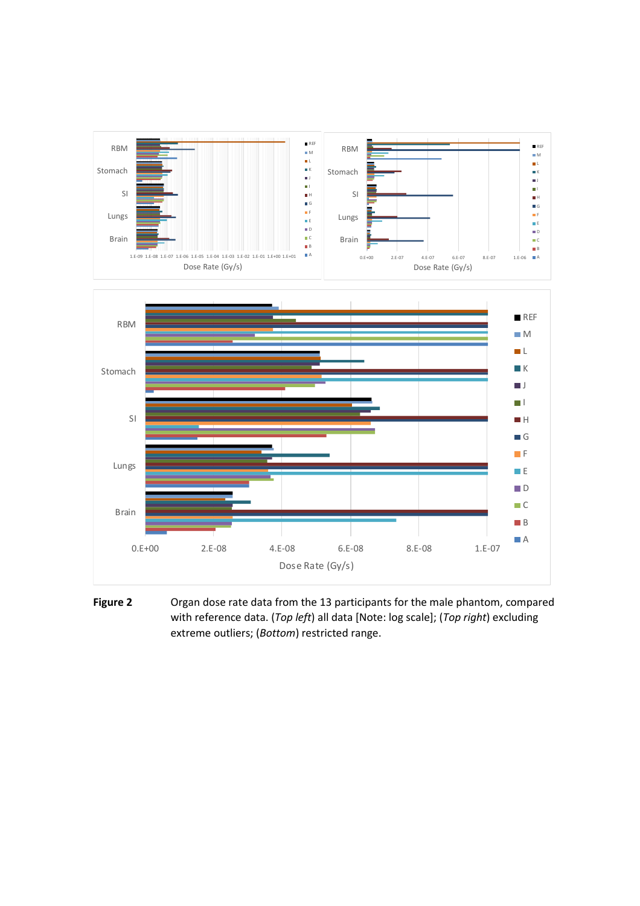

**Figure 2** Organ dose rate data from the 13 participants for the male phantom, compared with reference data. (*Top left*) all data [Note: log scale]; (*Top right*) excluding extreme outliers; (*Bottom*) restricted range.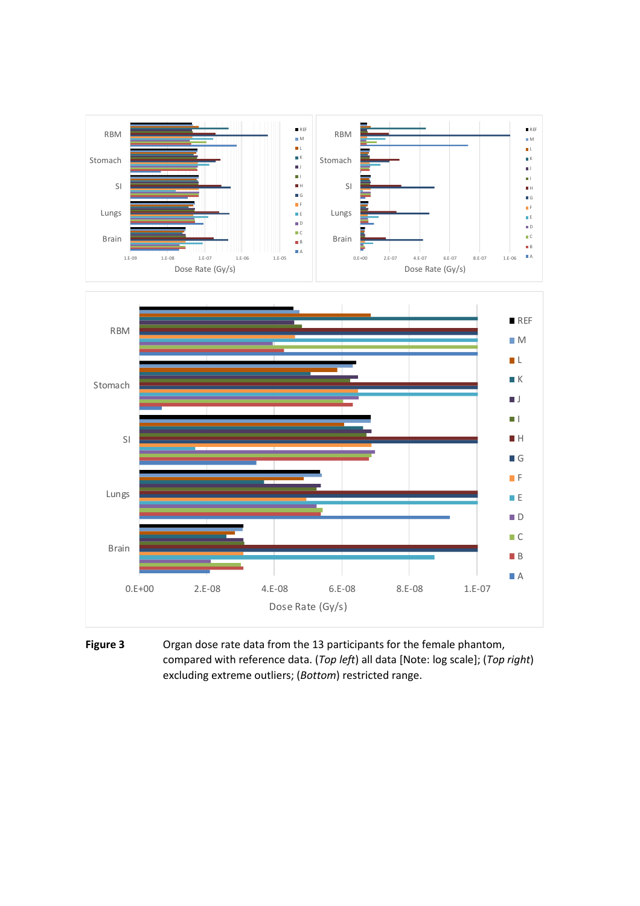

**Figure 3** Organ dose rate data from the 13 participants for the female phantom, compared with reference data. (*Top left*) all data [Note: log scale]; (*Top right*) excluding extreme outliers; (*Bottom*) restricted range.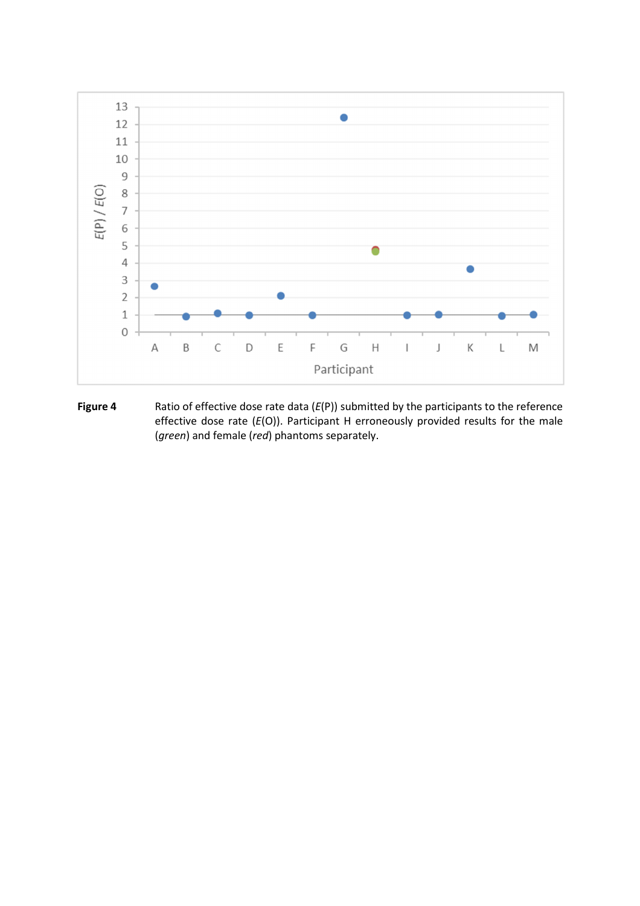

**Figure 4** Ratio of effective dose rate data (*E*(P)) submitted by the participants to the reference effective dose rate (*E*(O)). Participant H erroneously provided results for the male (*green*) and female (*red*) phantoms separately.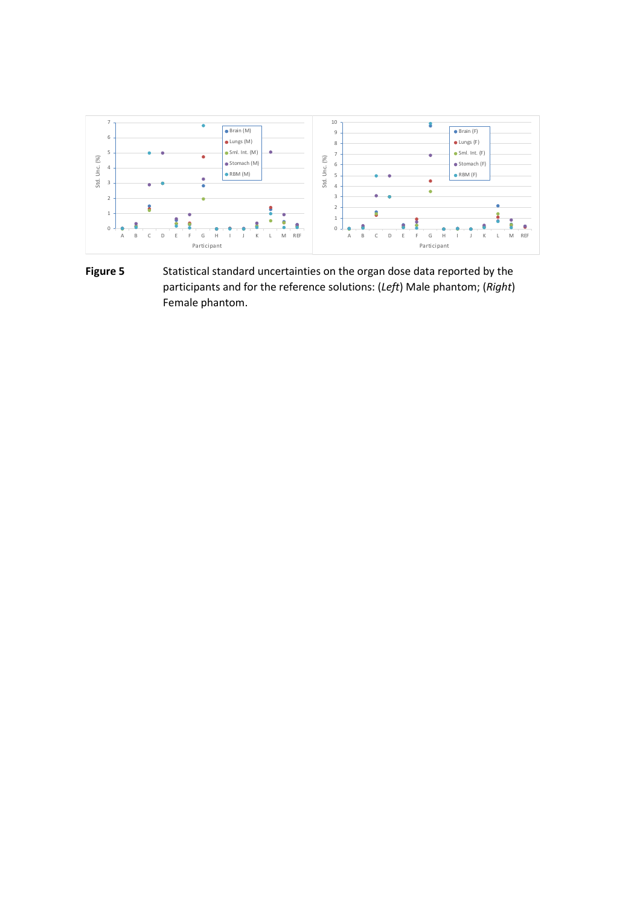

**Figure 5** Statistical standard uncertainties on the organ dose data reported by the participants and for the reference solutions: (*Left*) Male phantom; (*Right*) Female phantom.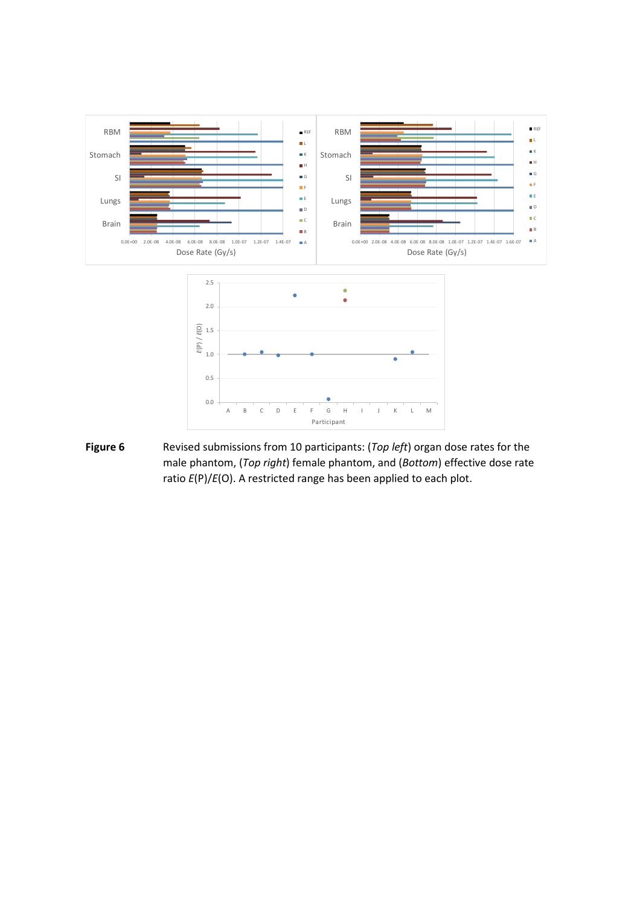

**Figure 6** Revised submissions from 10 participants: (*Top left*) organ dose rates for the male phantom, (*Top right*) female phantom, and (*Bottom*) effective dose rate ratio *E*(P)/*E*(O). A restricted range has been applied to each plot.